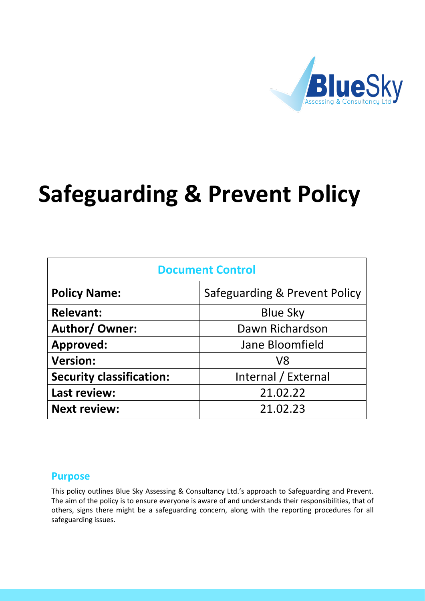

# **Safeguarding & Prevent Policy**

| <b>Document Control</b>         |                               |
|---------------------------------|-------------------------------|
| <b>Policy Name:</b>             | Safeguarding & Prevent Policy |
| <b>Relevant:</b>                | <b>Blue Sky</b>               |
| <b>Author/ Owner:</b>           | Dawn Richardson               |
| <b>Approved:</b>                | Jane Bloomfield               |
| <b>Version:</b>                 | V8                            |
| <b>Security classification:</b> | Internal / External           |
| Last review:                    | 21.02.22                      |
| <b>Next review:</b>             | 21.02.23                      |

## **Purpose**

This policy outlines Blue Sky Assessing & Consultancy Ltd.'s approach to Safeguarding and Prevent. The aim of the policy is to ensure everyone is aware of and understands their responsibilities, that of others, signs there might be a safeguarding concern, along with the reporting procedures for all safeguarding issues.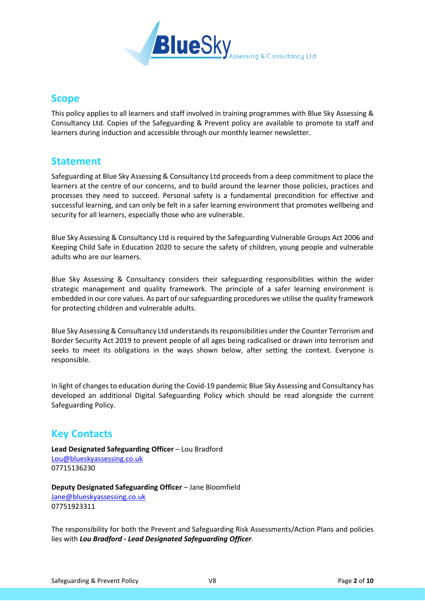

# **Scope**

This policy applies to all learners and staff involved in training programmes with Blue Sky Assessing & Consultancy Ltd. Copies of the Safeguarding & Prevent policy are available to promote to staff and learners during induction and accessible through our monthly learner newsletter.

## **Statement**

Safeguarding at Blue Sky Assessing & Consultancy Ltd proceeds from a deep commitment to place the learners at the centre of our concerns, and to build around the learner those policies, practices and processes they need to succeed. Personal safety is a fundamental precondition for effective and successful learning, and can only be felt in a safer learning environment that promotes wellbeing and security for all learners, especially those who are vulnerable.

Blue Sky Assessing & Consultancy Ltd is required by the Safeguarding Vulnerable Groups Act 2006 and Keeping Child Safe in Education 2020 to secure the safety of children, young people and vulnerable adults who are our learners.

Blue Sky Assessing & Consultancy considers their safeguarding responsibilities within the wider strategic management and quality framework. The principle of a safer learning environment is embedded in our core values. As part of our safeguarding procedures we utilise the quality framework for protecting children and vulnerable adults.

Blue Sky Assessing & Consultancy Ltd understands its responsibilities under the Counter Terrorism and Border Security Act 2019 to prevent people of all ages being radicalised or drawn into terrorism and seeks to meet its obligations in the ways shown below, after setting the context. Everyone is responsible.

In light of changes to education during the Covid-19 pandemic Blue Sky Assessing and Consultancy has developed an additional Digital Safeguarding Policy which should be read alongside the current Safeguarding Policy.

# **Key Contacts**

**Lead Designated Safeguarding Officer** – Lou Bradford [Lou@blueskyassessing.co.uk](mailto:Lou@blueskyassessing.co.uk) 07715136230

**Deputy Designated Safeguarding Officer** – Jane Bloomfield [Jane@blueskyassessing.co.uk](mailto:Jane@blueskyassessing.co.uk) 07751923311

The responsibility for both the Prevent and Safeguarding Risk Assessments/Action Plans and policies lies with *Lou Bradford - Lead Designated Safeguarding Officer.*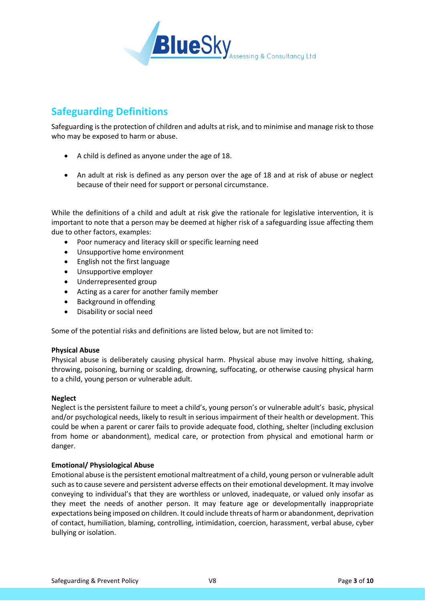

# **Safeguarding Definitions**

Safeguarding is the protection of children and adults at risk, and to minimise and manage risk to those who may be exposed to harm or abuse.

- A child is defined as anyone under the age of 18.
- An adult at risk is defined as any person over the age of 18 and at risk of abuse or neglect because of their need for support or personal circumstance.

While the definitions of a child and adult at risk give the rationale for legislative intervention, it is important to note that a person may be deemed at higher risk of a safeguarding issue affecting them due to other factors, examples:

- Poor numeracy and literacy skill or specific learning need
- Unsupportive home environment
- English not the first language
- Unsupportive employer
- Underrepresented group
- Acting as a carer for another family member
- Background in offending
- Disability or social need

Some of the potential risks and definitions are listed below, but are not limited to:

#### **Physical Abuse**

Physical abuse is deliberately causing physical harm. Physical abuse may involve hitting, shaking, throwing, poisoning, burning or scalding, drowning, suffocating, or otherwise causing physical harm to a child, young person or vulnerable adult.

#### **Neglect**

Neglect is the persistent failure to meet a child's, young person's or vulnerable adult's basic, physical and/or psychological needs, likely to result in serious impairment of their health or development. This could be when a parent or carer fails to provide adequate food, clothing, shelter (including exclusion from home or abandonment), medical care, or protection from physical and emotional harm or danger.

#### **Emotional/ Physiological Abuse**

Emotional abuse is the persistent emotional maltreatment of a child, young person or vulnerable adult such as to cause severe and persistent adverse effects on their emotional development. It may involve conveying to individual's that they are worthless or unloved, inadequate, or valued only insofar as they meet the needs of another person. It may feature age or developmentally inappropriate expectations being imposed on children. It could include threats of harm or abandonment, deprivation of contact, humiliation, blaming, controlling, intimidation, coercion, harassment, verbal abuse, cyber bullying or isolation.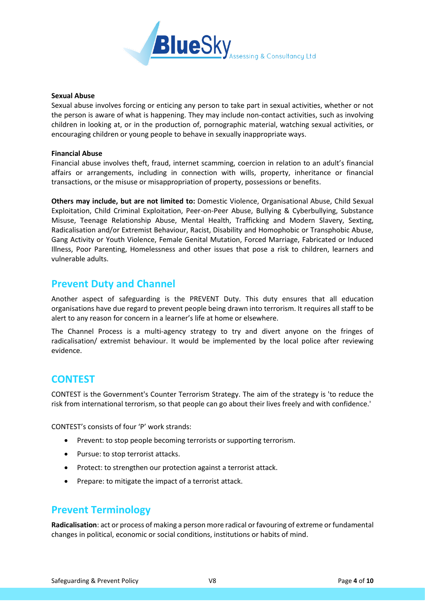

#### **Sexual Abuse**

Sexual abuse involves forcing or enticing any person to take part in sexual activities, whether or not the person is aware of what is happening. They may include non-contact activities, such as involving children in looking at, or in the production of, pornographic material, watching sexual activities, or encouraging children or young people to behave in sexually inappropriate ways.

#### **Financial Abuse**

Financial abuse involves theft, fraud, internet scamming, coercion in relation to an adult's financial affairs or arrangements, including in connection with wills, property, inheritance or financial transactions, or the misuse or misappropriation of property, possessions or benefits.

**Others may include, but are not limited to:** Domestic Violence, Organisational Abuse, Child Sexual Exploitation, Child Criminal Exploitation, Peer-on-Peer Abuse, Bullying & Cyberbullying, Substance Misuse, Teenage Relationship Abuse, Mental Health, Trafficking and Modern Slavery, Sexting, Radicalisation and/or Extremist Behaviour, Racist, Disability and Homophobic or Transphobic Abuse, Gang Activity or Youth Violence, Female Genital Mutation, Forced Marriage, Fabricated or Induced Illness, Poor Parenting, Homelessness and other issues that pose a risk to children, learners and vulnerable adults.

## **Prevent Duty and Channel**

Another aspect of safeguarding is the PREVENT Duty. This duty ensures that all education organisations have due regard to prevent people being drawn into terrorism. It requires all staff to be alert to any reason for concern in a learner's life at home or elsewhere.

The Channel Process is a multi-agency strategy to try and divert anyone on the fringes of radicalisation/ extremist behaviour. It would be implemented by the local police after reviewing evidence.

## **CONTEST**

CONTEST is the Government's Counter Terrorism Strategy. The aim of the strategy is 'to reduce the risk from international terrorism, so that people can go about their lives freely and with confidence.'

CONTEST's consists of four 'P' work strands:

- Prevent: to stop people becoming terrorists or supporting terrorism.
- Pursue: to stop terrorist attacks.
- Protect: to strengthen our protection against a terrorist attack.
- Prepare: to mitigate the impact of a terrorist attack.

## **Prevent Terminology**

**Radicalisation**: act or process of making a person more radical or favouring of extreme or fundamental changes in political, economic or social conditions, institutions or habits of mind.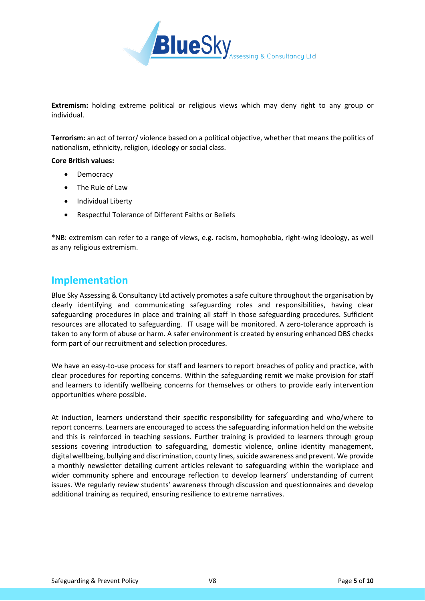

**Extremism:** holding extreme political or religious views which may deny right to any group or individual.

**Terrorism:** an act of terror/ violence based on a political objective, whether that means the politics of nationalism, ethnicity, religion, ideology or social class.

#### **Core British values:**

- **Democracy**
- The Rule of Law
- Individual Liberty
- Respectful Tolerance of Different Faiths or Beliefs

\*NB: extremism can refer to a range of views, e.g. racism, homophobia, right-wing ideology, as well as any religious extremism.

### **Implementation**

Blue Sky Assessing & Consultancy Ltd actively promotes a safe culture throughout the organisation by clearly identifying and communicating safeguarding roles and responsibilities, having clear safeguarding procedures in place and training all staff in those safeguarding procedures. Sufficient resources are allocated to safeguarding. IT usage will be monitored. A zero-tolerance approach is taken to any form of abuse or harm. A safer environment is created by ensuring enhanced DBS checks form part of our recruitment and selection procedures.

We have an easy-to-use process for staff and learners to report breaches of policy and practice, with clear procedures for reporting concerns. Within the safeguarding remit we make provision for staff and learners to identify wellbeing concerns for themselves or others to provide early intervention opportunities where possible.

At induction, learners understand their specific responsibility for safeguarding and who/where to report concerns. Learners are encouraged to access the safeguarding information held on the website and this is reinforced in teaching sessions. Further training is provided to learners through group sessions covering introduction to safeguarding, domestic violence, online identity management, digital wellbeing, bullying and discrimination, county lines, suicide awareness and prevent. We provide a monthly newsletter detailing current articles relevant to safeguarding within the workplace and wider community sphere and encourage reflection to develop learners' understanding of current issues. We regularly review students' awareness through discussion and questionnaires and develop additional training as required, ensuring resilience to extreme narratives.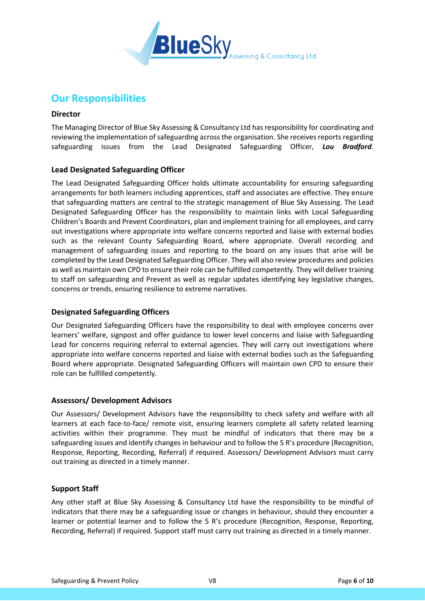

## **Our Responsibilities**

#### **Director**

The Managing Director of Blue Sky Assessing & Consultancy Ltd has responsibility for coordinating and reviewing the implementation of safeguarding across the organisation. She receives reports regarding safeguarding issues from the Lead Designated Safeguarding Officer, *Lou Bradford*.

#### **Lead Designated Safeguarding Officer**

The Lead Designated Safeguarding Officer holds ultimate accountability for ensuring safeguarding arrangements for both learners including apprentices, staff and associates are effective. They ensure that safeguarding matters are central to the strategic management of Blue Sky Assessing. The Lead Designated Safeguarding Officer has the responsibility to maintain links with Local Safeguarding Children's Boards and Prevent Coordinators, plan and implement training for all employees, and carry out investigations where appropriate into welfare concerns reported and liaise with external bodies such as the relevant County Safeguarding Board, where appropriate. Overall recording and management of safeguarding issues and reporting to the board on any issues that arise will be completed by the Lead Designated Safeguarding Officer. They will also review procedures and policies as well as maintain own CPD to ensure their role can be fulfilled competently. They will deliver training to staff on safeguarding and Prevent as well as regular updates identifying key legislative changes, concerns or trends, ensuring resilience to extreme narratives.

#### **Designated Safeguarding Officers**

Our Designated Safeguarding Officers have the responsibility to deal with employee concerns over learners' welfare, signpost and offer guidance to lower level concerns and liaise with Safeguarding Lead for concerns requiring referral to external agencies. They will carry out investigations where appropriate into welfare concerns reported and liaise with external bodies such as the Safeguarding Board where appropriate. Designated Safeguarding Officers will maintain own CPD to ensure their role can be fulfilled competently.

#### **Assessors/ Development Advisors**

Our Assessors/ Development Advisors have the responsibility to check safety and welfare with all learners at each face-to-face/ remote visit, ensuring learners complete all safety related learning activities within their programme. They must be mindful of indicators that there may be a safeguarding issues and identify changes in behaviour and to follow the 5 R's procedure (Recognition, Response, Reporting, Recording, Referral) if required. Assessors/ Development Advisors must carry out training as directed in a timely manner.

#### **Support Staff**

Any other staff at Blue Sky Assessing & Consultancy Ltd have the responsibility to be mindful of indicators that there may be a safeguarding issue or changes in behaviour, should they encounter a learner or potential learner and to follow the 5 R's procedure (Recognition, Response, Reporting, Recording, Referral) if required. Support staff must carry out training as directed in a timely manner.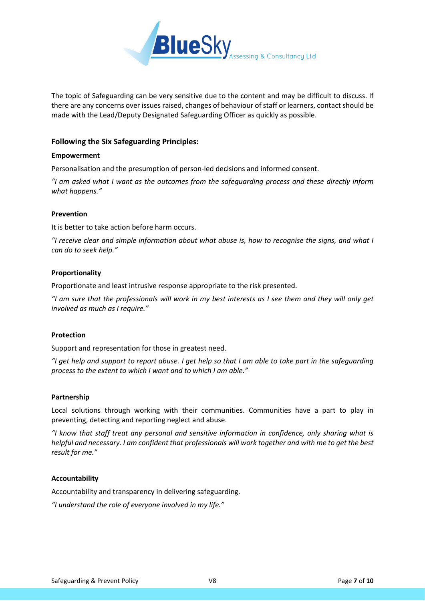

The topic of Safeguarding can be very sensitive due to the content and may be difficult to discuss. If there are any concerns over issues raised, changes of behaviour of staff or learners, contact should be made with the Lead/Deputy Designated Safeguarding Officer as quickly as possible.

#### **Following the Six Safeguarding Principles:**

#### **Empowerment**

Personalisation and the presumption of person-led decisions and informed consent.

*"I am asked what I want as the outcomes from the safeguarding process and these directly inform what happens."*

#### **Prevention**

It is better to take action before harm occurs.

*"I receive clear and simple information about what abuse is, how to recognise the signs, and what I can do to seek help."*

#### **Proportionality**

Proportionate and least intrusive response appropriate to the risk presented.

*"I am sure that the professionals will work in my best interests as I see them and they will only get involved as much as I require."*

#### **Protection**

Support and representation for those in greatest need.

*"I get help and support to report abuse. I get help so that I am able to take part in the safeguarding process to the extent to which I want and to which I am able."*

#### **Partnership**

Local solutions through working with their communities. Communities have a part to play in preventing, detecting and reporting neglect and abuse.

*"I know that staff treat any personal and sensitive information in confidence, only sharing what is helpful and necessary. I am confident that professionals will work together and with me to get the best result for me."*

#### **Accountability**

Accountability and transparency in delivering safeguarding.

*"I understand the role of everyone involved in my life."*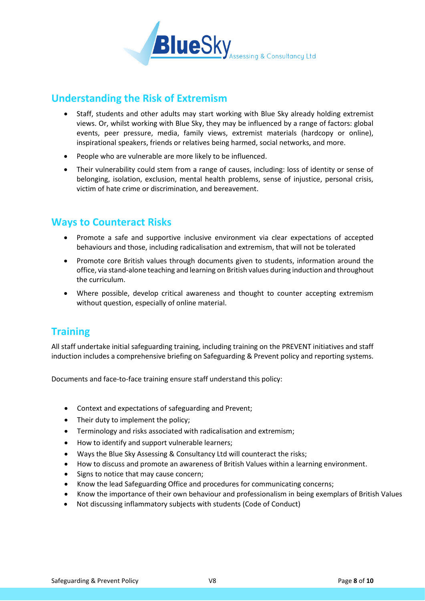

# **Understanding the Risk of Extremism**

- Staff, students and other adults may start working with Blue Sky already holding extremist views. Or, whilst working with Blue Sky, they may be influenced by a range of factors: global events, peer pressure, media, family views, extremist materials (hardcopy or online), inspirational speakers, friends or relatives being harmed, social networks, and more.
- People who are vulnerable are more likely to be influenced.
- Their vulnerability could stem from a range of causes, including: loss of identity or sense of belonging, isolation, exclusion, mental health problems, sense of injustice, personal crisis, victim of hate crime or discrimination, and bereavement.

# **Ways to Counteract Risks**

- Promote a safe and supportive inclusive environment via clear expectations of accepted behaviours and those, including radicalisation and extremism, that will not be tolerated
- Promote core British values through documents given to students, information around the office, via stand-alone teaching and learning on British values during induction and throughout the curriculum.
- Where possible, develop critical awareness and thought to counter accepting extremism without question, especially of online material.

# **Training**

All staff undertake initial safeguarding training, including training on the PREVENT initiatives and staff induction includes a comprehensive briefing on Safeguarding & Prevent policy and reporting systems.

Documents and face-to-face training ensure staff understand this policy:

- Context and expectations of safeguarding and Prevent;
- Their duty to implement the policy;
- Terminology and risks associated with radicalisation and extremism;
- How to identify and support vulnerable learners;
- Ways the Blue Sky Assessing & Consultancy Ltd will counteract the risks;
- How to discuss and promote an awareness of British Values within a learning environment.
- Signs to notice that may cause concern;
- Know the lead Safeguarding Office and procedures for communicating concerns;
- Know the importance of their own behaviour and professionalism in being exemplars of British Values
- Not discussing inflammatory subjects with students (Code of Conduct)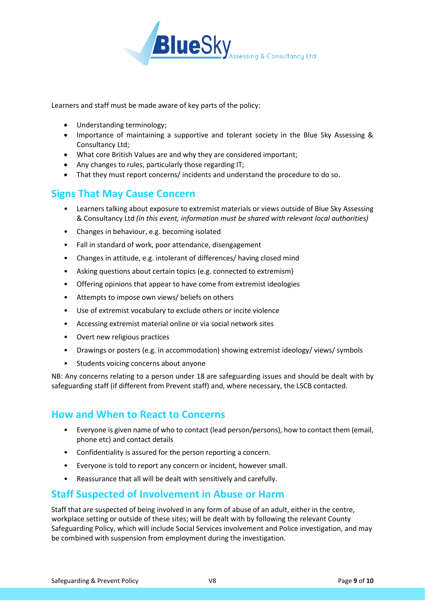

Learners and staff must be made aware of key parts of the policy:

- Understanding terminology;
- Importance of maintaining a supportive and tolerant society in the Blue Sky Assessing & Consultancy Ltd;
- What core British Values are and why they are considered important;
- Any changes to rules, particularly those regarding IT;
- That they must report concerns/ incidents and understand the procedure to do so.

# **Signs That May Cause Concern**

- Learners talking about exposure to extremist materials or views outside of Blue Sky Assessing & Consultancy Ltd *(in this event, information must be shared with relevant local authorities)*
- Changes in behaviour, e.g. becoming isolated
- Fall in standard of work, poor attendance, disengagement
- Changes in attitude, e.g. intolerant of differences/ having closed mind
- Asking questions about certain topics (e.g. connected to extremism)
- Offering opinions that appear to have come from extremist ideologies
- Attempts to impose own views/ beliefs on others
- Use of extremist vocabulary to exclude others or incite violence
- Accessing extremist material online or via social network sites
- Overt new religious practices
- Drawings or posters (e.g. in accommodation) showing extremist ideology/ views/ symbols
- Students voicing concerns about anyone

NB: Any concerns relating to a person under 18 are safeguarding issues and should be dealt with by safeguarding staff (if different from Prevent staff) and, where necessary, the LSCB contacted.

# **How and When to React to Concerns**

- Everyone is given name of who to contact (lead person/persons), how to contact them (email, phone etc) and contact details
- Confidentiality is assured for the person reporting a concern.
- Everyone is told to report any concern or incident, however small.
- Reassurance that all will be dealt with sensitively and carefully.

# **Staff Suspected of Involvement in Abuse or Harm**

Staff that are suspected of being involved in any form of abuse of an adult, either in the centre, workplace setting or outside of these sites; will be dealt with by following the relevant County Safeguarding Policy, which will include Social Services involvement and Police investigation, and may be combined with suspension from employment during the investigation.